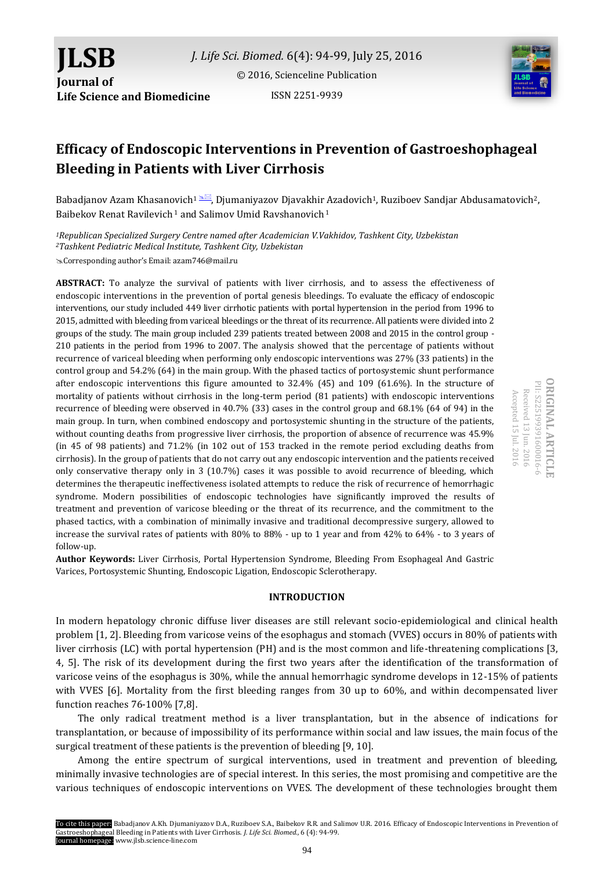

ISSN 2251-9939

# **Efficacy of Endoscopic Interventions in Prevention of Gastroeshophageal Bleeding in Patients with Liver Cirrhosis**

Babadjanov Azam Khasanovich<sup>1</sup>  $\mathbb{R}$ , Djumaniyazov Djavakhir Azadovich<sup>1</sup>, Ruziboev Sandjar Abdusamatovich<sup>2</sup>, Baibekov Renat Ravilevich <sup>1</sup> and Salimov Umid Ravshanovich <sup>1</sup>

*<sup>1</sup>Republican Specialized Surgery Centre named after Academician V.Vakhidov, Tashkent City, Uzbekistan <sup>2</sup>Tashkent Pediatric Medical Institute, Tashkent City, Uzbekistan*

Corresponding author's Email: azam746@mail.ru

**ABSTRACT:** To analyze the survival of patients with liver cirrhosis, and to assess the effectiveness of endoscopic interventions in the prevention of portal genesis bleedings. To evaluate the efficacy of endoscopic interventions, our study included 449 liver cirrhotic patients with portal hypertension in the period from 1996 to 2015, admitted with bleeding from variceal bleedings or the threat of its recurrence. All patients were divided into 2 groups of the study. The main group included 239 patients treated between 2008 and 2015 in the control group - 210 patients in the period from 1996 to 2007. The analysis showed that the percentage of patients without recurrence of variceal bleeding when performing only endoscopic interventions was 27% (33 patients) in the control group and 54.2% (64) in the main group. With the phased tactics of portosystemic shunt performance after endoscopic interventions this figure amounted to 32.4% (45) and 109 (61.6%). In the structure of mortality of patients without cirrhosis in the long-term period (81 patients) with endoscopic interventions recurrence of bleeding were observed in 40.7% (33) cases in the control group and 68.1% (64 of 94) in the main group. In turn, when combined endoscopy and portosystemic shunting in the structure of the patients, without counting deaths from progressive liver cirrhosis, the proportion of absence of recurrence was 45.9% (in 45 of 98 patients) and 71.2% (in 102 out of 153 tracked in the remote period excluding deaths from cirrhosis). In the group of patients that do not carry out any endoscopic intervention and the patients received only conservative therapy only in 3 (10.7%) cases it was possible to avoid recurrence of bleeding, which determines the therapeutic ineffectiveness isolated attempts to reduce the risk of recurrence of hemorrhagic syndrome. Modern possibilities of endoscopic technologies have significantly improved the results of treatment and prevention of varicose bleeding or the threat of its recurrence, and the commitment to the phased tactics, with a combination of minimally invasive and traditional decompressive surgery, allowed to increase the survival rates of patients with 80% to 88% - up to 1 year and from 42% to 64% - to 3 years of follow-up.

**Author Keywords:** Liver Cirrhosis, Portal Hypertension Syndrome, Bleeding From Esophageal And Gastric Varices, Portosystemic Shunting, Endoscopic Ligation, Endoscopic Sclerotherapy.

#### **INTRODUCTION**

In modern hepatology chronic diffuse liver diseases are still relevant socio-epidemiological and clinical health problem [1, 2]. Bleeding from varicose veins of the esophagus and stomach (VVES) occurs in 80% of patients with liver cirrhosis (LC) with portal hypertension (PH) and is the most common and life-threatening complications [3, 4, 5]. The risk of its development during the first two years after the identification of the transformation of varicose veins of the esophagus is 30%, while the annual hemorrhagic syndrome develops in 12-15% of patients with VVES [6]. Mortality from the first bleeding ranges from 30 up to 60%, and within decompensated liver function reaches 76-100% [7,8].

The only radical treatment method is a liver transplantation, but in the absence of indications for transplantation, or because of impossibility of its performance within social and law issues, the main focus of the surgical treatment of these patients is the prevention of bleeding [9, 10].

Among the entire spectrum of surgical interventions, used in treatment and prevention of bleeding, minimally invasive technologies are of special interest. In this series, the most promising and competitive are the various techniques of endoscopic interventions on VVES. The development of these technologies brought them

**ORIGINAL ARTICLE ORIGINAL ARTICLE** PII: S225199391600016-6 PII: S225199391 Received 13 Jun. 2016 Accepted 15 Jul. 2016 Accepted 15 Received 13 Jun. 2016 600016-6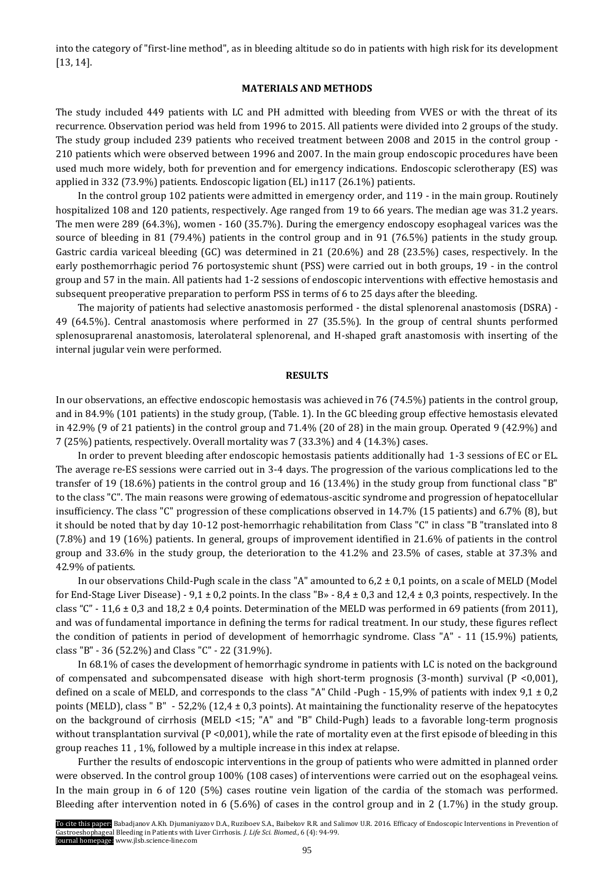into the category of "first-line method", as in bleeding altitude so do in patients with high risk for its development [13, 14].

# **MATERIALS AND METHODS**

The study included 449 patients with LC and PH admitted with bleeding from VVES or with the threat of its recurrence. Observation period was held from 1996 to 2015. All patients were divided into 2 groups of the study. The study group included 239 patients who received treatment between 2008 and 2015 in the control group - 210 patients which were observed between 1996 and 2007. In the main group endoscopic procedures have been used much more widely, both for prevention and for emergency indications. Endoscopic sclerotherapy (ES) was applied in 332 (73.9%) patients. Endoscopic ligation (EL) in117 (26.1%) patients.

In the control group 102 patients were admitted in emergency order, and 119 - in the main group. Routinely hospitalized 108 and 120 patients, respectively. Age ranged from 19 to 66 years. The median age was 31.2 years. The men were 289 (64.3%), women - 160 (35.7%). During the emergency endoscopy esophageal varices was the source of bleeding in 81 (79.4%) patients in the control group and in 91 (76.5%) patients in the study group. Gastric cardia variceal bleeding (GC) was determined in 21 (20.6%) and 28 (23.5%) cases, respectively. In the early posthemorrhagic period 76 portosystemic shunt (PSS) were carried out in both groups, 19 - in the control group and 57 in the main. All patients had 1-2 sessions of endoscopic interventions with effective hemostasis and subsequent preoperative preparation to perform PSS in terms of 6 to 25 days after the bleeding.

The majority of patients had selective anastomosis performed - the distal splenorenal anastomosis (DSRA) - 49 (64.5%). Central anastomosis where performed in 27 (35.5%). In the group of central shunts performed splenosuprarenal anastomosis, laterolateral splenorenal, and H-shaped graft anastomosis with inserting of the internal jugular vein were performed.

#### **RESULTS**

In our observations, an effective endoscopic hemostasis was achieved in 76 (74.5%) patients in the control group, and in 84.9% (101 patients) in the study group, (Table. 1). In the GC bleeding group effective hemostasis elevated in 42.9% (9 of 21 patients) in the control group and 71.4% (20 of 28) in the main group. Operated 9 (42.9%) and 7 (25%) patients, respectively. Overall mortality was 7 (33.3%) and 4 (14.3%) cases.

In order to prevent bleeding after endoscopic hemostasis patients additionally had 1-3 sessions of EC or EL. The average re-ES sessions were carried out in 3-4 days. The progression of the various complications led to the transfer of 19 (18.6%) patients in the control group and 16 (13.4%) in the study group from functional class "B" to the class "C". The main reasons were growing of edematous-ascitic syndrome and progression of hepatocellular insufficiency. The class "C" progression of these complications observed in 14.7% (15 patients) and 6.7% (8), but it should be noted that by day 10-12 post-hemorrhagic rehabilitation from Class "C" in class "B "translated into 8 (7.8%) and 19 (16%) patients. In general, groups of improvement identified in 21.6% of patients in the control group and 33.6% in the study group, the deterioration to the 41.2% and 23.5% of cases, stable at 37.3% and 42.9% of patients.

In our observations Child-Pugh scale in the class "A" amounted to  $6.2 \pm 0.1$  points, on a scale of MELD (Model for End-Stage Liver Disease) - 9,1  $\pm$  0,2 points. In the class "B» - 8,4  $\pm$  0,3 and 12,4  $\pm$  0,3 points, respectively. In the class "C" - 11,6  $\pm$  0,3 and 18,2  $\pm$  0,4 points. Determination of the MELD was performed in 69 patients (from 2011), and was of fundamental importance in defining the terms for radical treatment. In our study, these figures reflect the condition of patients in period of development of hemorrhagic syndrome. Class "A" - 11 (15.9%) patients, class "B" - 36 (52.2%) and Class "C" - 22 (31.9%).

In 68.1% of cases the development of hemorrhagic syndrome in patients with LC is noted on the background of compensated and subcompensated disease with high short-term prognosis (3-month) survival ( $P \le 0.001$ ), defined on a scale of MELD, and corresponds to the class "A" Child -Pugh - 15,9% of patients with index  $9.1 \pm 0.2$ points (MELD), class " $B'' - 52,2\%$  (12,4 ± 0,3 points). At maintaining the functionality reserve of the hepatocytes on the background of cirrhosis (MELD <15; "A" and "B" Child-Pugh) leads to a favorable long-term prognosis without transplantation survival (P <0,001), while the rate of mortality even at the first episode of bleeding in this group reaches 11 , 1%, followed by a multiple increase in this index at relapse.

Further the results of endoscopic interventions in the group of patients who were admitted in planned order were observed. In the control group 100% (108 cases) of interventions were carried out on the esophageal veins. In the main group in 6 of 120 (5%) cases routine vein ligation of the cardia of the stomach was performed. Bleeding after intervention noted in 6 (5.6%) of cases in the control group and in 2 (1.7%) in the study group.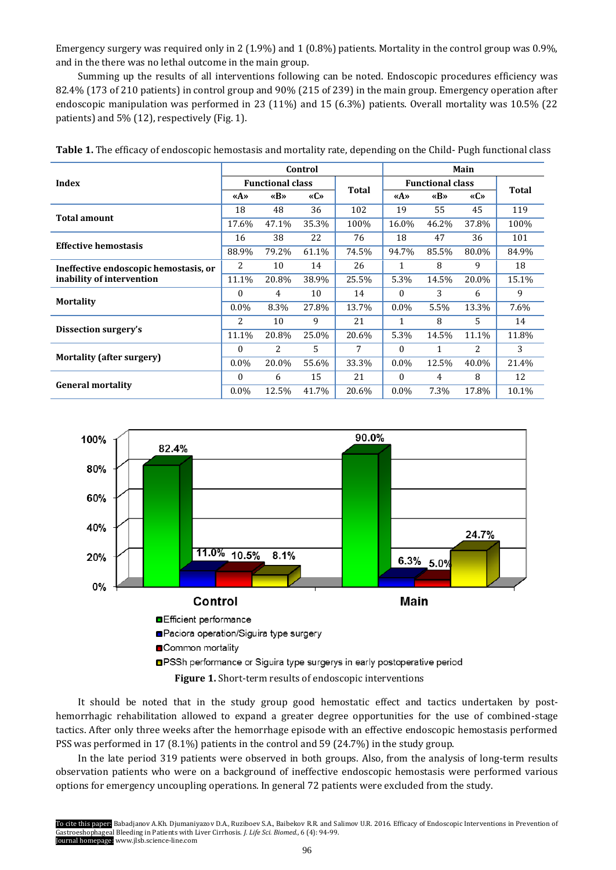Emergency surgery was required only in 2 (1.9%) and 1 (0.8%) patients. Mortality in the control group was 0.9%, and in the there was no lethal outcome in the main group.

Summing up the results of all interventions following can be noted. Endoscopic procedures efficiency was 82.4% (173 of 210 patients) in control group and 90% (215 of 239) in the main group. Emergency operation after endoscopic manipulation was performed in 23 (11%) and 15 (6.3%) patients. Overall mortality was 10.5% (22 patients) and 5% (12), respectively (Fig. 1).

|                                       | Control                 |       |       |       | Main                    |       |       |       |
|---------------------------------------|-------------------------|-------|-------|-------|-------------------------|-------|-------|-------|
| Index                                 | <b>Functional class</b> |       |       | Total | <b>Functional class</b> |       |       |       |
|                                       | «A»                     | «B»   | «C»   |       | «A»                     | «B»   | «C»   | Total |
|                                       | 18                      | 48    | 36    | 102   | 19                      | 55    | 45    | 119   |
| <b>Total amount</b>                   | 17.6%                   | 47.1% | 35.3% | 100%  | 16.0%                   | 46.2% | 37.8% | 100%  |
| <b>Effective hemostasis</b>           | 16                      | 38    | 22    | 76    | 18                      | 47    | 36    | 101   |
|                                       | 88.9%                   | 79.2% | 61.1% | 74.5% | 94.7%                   | 85.5% | 80.0% | 84.9% |
| Ineffective endoscopic hemostasis, or | 2                       | 10    | 14    | 26    | 1                       | 8     | 9     | 18    |
| inability of intervention             | 11.1%                   | 20.8% | 38.9% | 25.5% | 5.3%                    | 14.5% | 20.0% | 15.1% |
|                                       | $\theta$                | 4     | 10    | 14    | $\Omega$                | 3     | 6     | 9     |
| <b>Mortality</b>                      | $0.0\%$                 | 8.3%  | 27.8% | 13.7% | $0.0\%$                 | 5.5%  | 13.3% | 7.6%  |
|                                       | 2                       | 10    | 9     | 21    | 1                       | 8     | 5     | 14    |
| Dissection surgery's                  | 11.1%                   | 20.8% | 25.0% | 20.6% | 5.3%                    | 14.5% | 11.1% | 11.8% |
|                                       | $\theta$                | 2     | 5     | 7     | $\Omega$                | 1     | 2     | 3     |
| <b>Mortality (after surgery)</b>      | $0.0\%$                 | 20.0% | 55.6% | 33.3% | $0.0\%$                 | 12.5% | 40.0% | 21.4% |
|                                       | $\Omega$                | 6     | 15    | 21    | $\theta$                | 4     | 8     | 12    |
| <b>General mortality</b>              | $0.0\%$                 | 12.5% | 41.7% | 20.6% | $0.0\%$                 | 7.3%  | 17.8% | 10.1% |

| Table 1. The efficacy of endoscopic hemostasis and mortality rate, depending on the Child- Pugh functional class |
|------------------------------------------------------------------------------------------------------------------|
|------------------------------------------------------------------------------------------------------------------|



**Figure 1.** Short-term results of endoscopic interventions

It should be noted that in the study group good hemostatic effect and tactics undertaken by posthemorrhagic rehabilitation allowed to expand a greater degree opportunities for the use of combined-stage tactics. After only three weeks after the hemorrhage episode with an effective endoscopic hemostasis performed PSS was performed in 17 (8.1%) patients in the control and 59 (24.7%) in the study group.

In the late period 319 patients were observed in both groups. Also, from the analysis of long-term results observation patients who were on a background of ineffective endoscopic hemostasis were performed various options for emergency uncoupling operations. In general 72 patients were excluded from the study.

To cite this paper: Babadjanov A.Kh. Djumaniyazov D.A., Ruziboev S.A., Baibekov R.R. and Salimov U.R. 2016. Efficacy of Endoscopic Interventions in Prevention of Gastroeshophageal Bleeding in Patients with Liver Cirrhosis. *J. Life Sci. Biomed.,* 6 (4): 94-99. Journal homepage: www.jlsb.science-line.com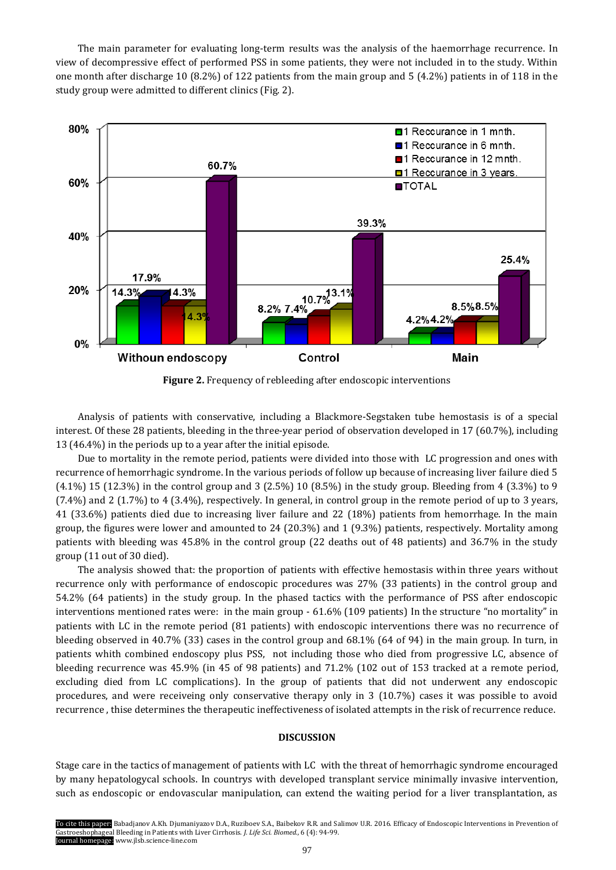The main parameter for evaluating long-term results was the analysis of the haemorrhage recurrence. In view of decompressive effect of performed PSS in some patients, they were not included in to the study. Within one month after discharge 10 (8.2%) of 122 patients from the main group and 5 (4.2%) patients in of 118 in the study group were admitted to different clinics (Fig. 2).



**Figure 2.** Frequency of rebleeding after endoscopic interventions

Analysis of patients with conservative, including a Blackmore-Segstaken tube hemostasis is of a special interest. Of these 28 patients, bleeding in the three-year period of observation developed in 17 (60.7%), including 13 (46.4%) in the periods up to a year after the initial episode.

Due to mortality in the remote period, patients were divided into those with LC progression and ones with recurrence of hemorrhagic syndrome. In the various periods of follow up because of increasing liver failure died 5 (4.1%) 15 (12.3%) in the control group and 3 (2.5%) 10 (8.5%) in the study group. Bleeding from 4 (3.3%) to 9 (7.4%) and 2 (1.7%) to 4 (3.4%), respectively. In general, in control group in the remote period of up to 3 years, 41 (33.6%) patients died due to increasing liver failure and 22 (18%) patients from hemorrhage. In the main group, the figures were lower and amounted to 24 (20.3%) and 1 (9.3%) patients, respectively. Mortality among patients with bleeding was 45.8% in the control group (22 deaths out of 48 patients) and 36.7% in the study group (11 out of 30 died).

The analysis showed that: the proportion of patients with effective hemostasis within three years without recurrence only with performance of endoscopic procedures was 27% (33 patients) in the control group and 54.2% (64 patients) in the study group. In the phased tactics with the performance of PSS after endoscopic interventions mentioned rates were: in the main group - 61.6% (109 patients) In the structure "no mortality" in patients with LC in the remote period (81 patients) with endoscopic interventions there was no recurrence of bleeding observed in 40.7% (33) cases in the control group and 68.1% (64 of 94) in the main group. In turn, in patients whith combined endoscopy plus PSS, not including those who died from progressive LC, absence of bleeding recurrence was 45.9% (in 45 of 98 patients) and 71.2% (102 out of 153 tracked at a remote period, excluding died from LC complications). In the group of patients that did not underwent any endoscopic procedures, and were receiveing only conservative therapy only in 3 (10.7%) cases it was possible to avoid recurrence , thise determines the therapeutic ineffectiveness of isolated attempts in the risk of recurrence reduce.

## **DISCUSSION**

Stage care in the tactics of management of patients with LC with the threat of hemorrhagic syndrome encouraged by many hepatologycal schools. In countrys with developed transplant service minimally invasive intervention, such as endoscopic or endovascular manipulation, can extend the waiting period for a liver transplantation, as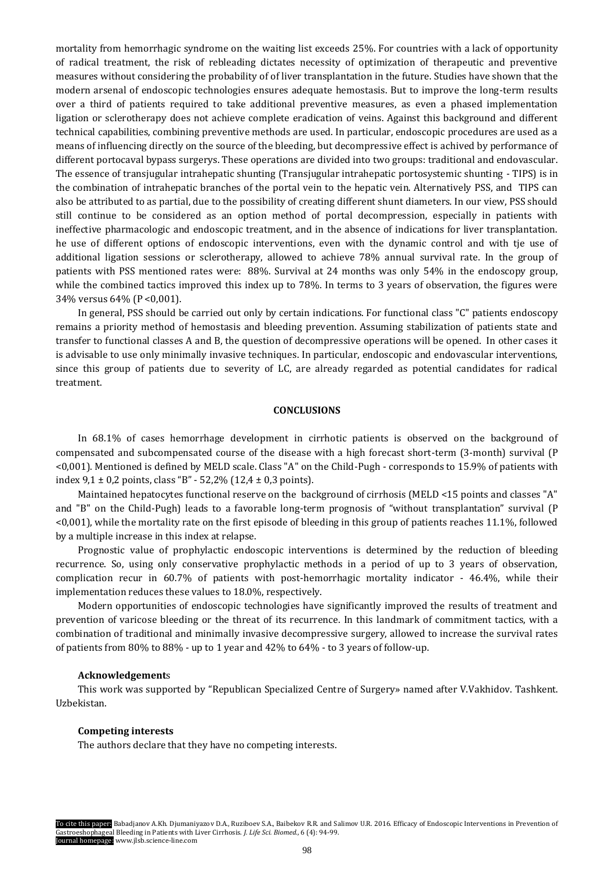mortality from hemorrhagic syndrome on the waiting list exceeds 25%. For countries with a lack of opportunity of radical treatment, the risk of rebleading dictates necessity of optimization of therapeutic and preventive measures without considering the probability of of liver transplantation in the future. Studies have shown that the modern arsenal of endoscopic technologies ensures adequate hemostasis. But to improve the long-term results over a third of patients required to take additional preventive measures, as even a phased implementation ligation or sclerotherapy does not achieve complete eradication of veins. Against this background and different technical capabilities, combining preventive methods are used. In particular, endoscopic procedures are used as a means of influencing directly on the source of the bleeding, but decompressive effect is achived by performance of different portocaval bypass surgerys. These operations are divided into two groups: traditional and endovascular. The essence of transjugular intrahepatic shunting (Transjugular intrahepatic portosystemic shunting - TIPS) is in the combination of intrahepatic branches of the portal vein to the hepatic vein. Alternatively PSS, and TIPS can also be attributed to as partial, due to the possibility of creating different shunt diameters. In our view, PSS should still continue to be considered as an option method of portal decompression, especially in patients with ineffective pharmacologic and endoscopic treatment, and in the absence of indications for liver transplantation. he use of different options of endoscopic interventions, even with the dynamic control and with tje use of additional ligation sessions or sclerotherapy, allowed to achieve 78% annual survival rate. In the group of patients with PSS mentioned rates were: 88%. Survival at 24 months was only 54% in the endoscopy group, while the combined tactics improved this index up to 78%. In terms to 3 years of observation, the figures were 34% versus 64% (P <0,001).

In general, PSS should be carried out only by certain indications. For functional class "C" patients endoscopy remains a priority method of hemostasis and bleeding prevention. Assuming stabilization of patients state and transfer to functional classes A and B, the question of decompressive operations will be opened. In other cases it is advisable to use only minimally invasive techniques. In particular, endoscopic and endovascular interventions, since this group of patients due to severity of LC, are already regarded as potential candidates for radical treatment.

## **CONCLUSIONS**

In 68.1% of cases hemorrhage development in cirrhotic patients is observed on the background of compensated and subcompensated course of the disease with a high forecast short-term (3-month) survival (P <0,001). Mentioned is defined by MELD scale. Class "A" on the Child-Pugh - corresponds to 15.9% of patients with index  $9.1 \pm 0.2$  points, class "B" - 52,2% (12,4  $\pm$  0.3 points).

Maintained hepatocytes functional reserve on the background of cirrhosis (MELD <15 points and classes "A" and "B" on the Child-Pugh) leads to a favorable long-term prognosis of "without transplantation" survival (P <0,001), while the mortality rate on the first episode of bleeding in this group of patients reaches 11.1%, followed by a multiple increase in this index at relapse.

Prognostic value of prophylactic endoscopic interventions is determined by the reduction of bleeding recurrence. So, using only conservative prophylactic methods in a period of up to 3 years of observation, complication recur in 60.7% of patients with post-hemorrhagic mortality indicator - 46.4%, while their implementation reduces these values to 18.0%, respectively.

Modern opportunities of endoscopic technologies have significantly improved the results of treatment and prevention of varicose bleeding or the threat of its recurrence. In this landmark of commitment tactics, with a combination of traditional and minimally invasive decompressive surgery, allowed to increase the survival rates of patients from 80% to 88% - up to 1 year and 42% to 64% - to 3 years of follow-up.

#### **Acknowledgement**s

This work was supported by "Republican Specialized Centre of Surgery» named after V.Vakhidov. Tashkent. Uzbekistan.

# **Competing interests**

The authors declare that they have no competing interests.